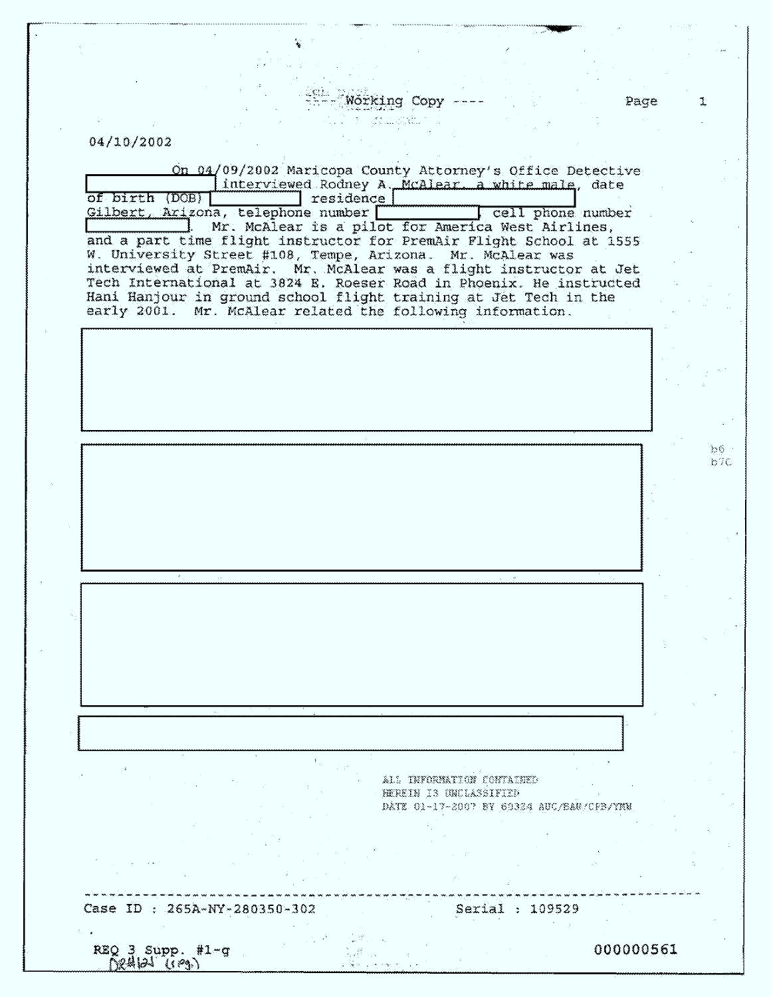Working Copy ----Element<br>1 - John Gibbert

Ŷ,

## 04/10/2002

- 2

| On 04/09/2002 Maricopa County Attorney's Office Detective<br>interviewed Rodney A. McAlear a white male, date<br>of birth (DOB)<br>residence  <br>Gilbert, Arizona, telephone number<br>cell phone number                                                    |              |
|--------------------------------------------------------------------------------------------------------------------------------------------------------------------------------------------------------------------------------------------------------------|--------------|
| Mr. McAlear is a pilot for America West Airlines,<br>and a part time flight instructor for PremAir Flight School at 1555<br>W. University Street #108, Tempe, Arizona. Mr. McAlear was<br>interviewed at PremAir. Mr. McAlear was a flight instructor at Jet |              |
| Tech International at 3824 E. Roeser Road in Phoenix. He instructed<br>Hani Hanjour in ground school flight training at Jet Tech in the<br>early 2001. Mr. McAlear related the following information.                                                        |              |
|                                                                                                                                                                                                                                                              |              |
|                                                                                                                                                                                                                                                              |              |
|                                                                                                                                                                                                                                                              | 32 G<br>157C |
|                                                                                                                                                                                                                                                              |              |
|                                                                                                                                                                                                                                                              |              |
|                                                                                                                                                                                                                                                              |              |
|                                                                                                                                                                                                                                                              |              |
|                                                                                                                                                                                                                                                              |              |
|                                                                                                                                                                                                                                                              |              |
| ALL INFORMATION CONTAINED<br>HEREIN IS UNCLASSIFIED<br>DATE 01-17-2007 BY 69324 AUC/BAU/CFB/                                                                                                                                                                 |              |
|                                                                                                                                                                                                                                                              |              |
| Case ID : 265A-NY-280350-302<br>Serial :<br>109529                                                                                                                                                                                                           |              |
| 000000561<br>$REQ = Supp$ . #1-g<br>Nettial <i>Iceal</i>                                                                                                                                                                                                     |              |

Page

 $\updownarrow$